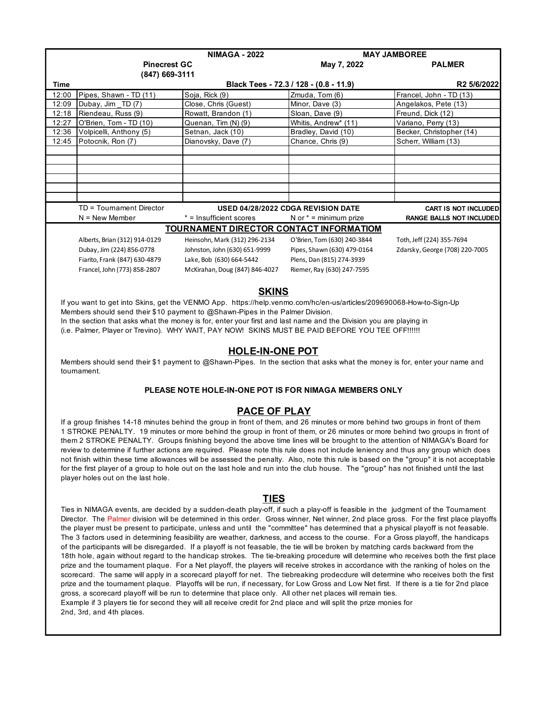|                                                | <b>NIMAGA - 2022</b>          |                                    | <b>MAY JAMBOREE</b>         |                                 |  |  |  |
|------------------------------------------------|-------------------------------|------------------------------------|-----------------------------|---------------------------------|--|--|--|
|                                                | <b>Pinecrest GC</b>           |                                    | May 7, 2022                 | <b>PALMER</b>                   |  |  |  |
|                                                | (847) 669-3111                |                                    |                             |                                 |  |  |  |
| <b>Time</b>                                    |                               | R <sub>2</sub> 5/6/2022            |                             |                                 |  |  |  |
| 12:00                                          | Pipes, Shawn - TD (11)        | Soja, Rick (9)                     | Zmuda, Tom (6)              | Francel, John - TD (13)         |  |  |  |
| 12:09                                          | Dubay, Jim TD (7)             | Close, Chris (Guest)               | Minor, Dave (3)             | Angelakos, Pete (13)            |  |  |  |
| 12:18                                          | Riendeau, Russ (9)            | Rowatt, Brandon (1)                | Sloan, Dave (9)             | Freund, Dick (12)               |  |  |  |
| 12:27                                          | O'Brien, Tom - TD (10)        | Quenan, Tim (N) (9)                | Whitis, Andrew* (11)        | Variano, Perry (13)             |  |  |  |
| 12:36                                          | Volpicelli, Anthony (5)       | Setnan, Jack (10)                  | Bradley, David (10)         | Becker, Christopher (14)        |  |  |  |
| 12:45                                          | Potocnik, Ron (7)             | Dianovsky, Dave (7)                | Chance, Chris (9)           | Scherr, William (13)            |  |  |  |
|                                                |                               |                                    |                             |                                 |  |  |  |
|                                                |                               |                                    |                             |                                 |  |  |  |
|                                                |                               |                                    |                             |                                 |  |  |  |
|                                                |                               |                                    |                             |                                 |  |  |  |
|                                                |                               |                                    |                             |                                 |  |  |  |
|                                                |                               |                                    |                             |                                 |  |  |  |
|                                                | TD = Tournament Director      | USED 04/28/2022 CDGA REVISION DATE |                             | <b>CART IS NOT INCLUDED</b>     |  |  |  |
|                                                | $N =$ New Member              | * = Insufficient scores            | N or $* =$ minimum prize    | <b>RANGE BALLS NOT INCLUDED</b> |  |  |  |
| <b>TOURNAMENT DIRECTOR CONTACT INFORMATIOM</b> |                               |                                    |                             |                                 |  |  |  |
|                                                | Alberts, Brian (312) 914-0129 | Heinsohn, Mark (312) 296-2134      | O'Brien, Tom (630) 240-3844 | Toth, Jeff (224) 355-7694       |  |  |  |
|                                                | Dubay, Jim (224) 856-0778     | Johnston, John (630) 651-9999      | Pipes, Shawn (630) 479-0164 | Zdarsky, George (708) 220-7005  |  |  |  |
|                                                | Fiarito, Frank (847) 630-4879 | Lake, Bob (630) 664-5442           | Plens, Dan (815) 274-3939   |                                 |  |  |  |
|                                                | Francel, John (773) 858-2807  | McKirahan, Doug (847) 846-4027     | Riemer, Ray (630) 247-7595  |                                 |  |  |  |
|                                                | <b>SKINS</b>                  |                                    |                             |                                 |  |  |  |

 If you want to get into Skins, get the VENMO App. https://help.venmo.com/hc/en-us/articles/209690068-How-to-Sign-Up Members should send their \$10 payment to @Shawn-Pipes in the Palmer Division.

In the section that asks what the money is for, enter your first and last name and the Division you are playing in

(i.e. Palmer, Player or Trevino). WHY WAIT, PAY NOW! SKINS MUST BE PAID BEFORE YOU TEE OFF!!!!!!

## **HOLE-IN-ONE POT**

 Members should send their \$1 payment to @Shawn-Pipes. In the section that asks what the money is for, enter your name and tournament.

## **PLEASE NOTE HOLE-IN-ONE POT IS FOR NIMAGA MEMBERS ONLY**

## **PACE OF PLAY**

 If a group finishes 14-18 minutes behind the group in front of them, and 26 minutes or more behind two groups in front of them 1 STROKE PENALTY. 19 minutes or more behind the group in front of them, or 26 minutes or more behind two groups in front of them 2 STROKE PENALTY. Groups finishing beyond the above time lines will be brought to the attention of NIMAGA's Board for review to determine if further actions are required. Please note this rule does not include leniency and thus any group which does not finish within these time allowances will be assessed the penalty. Also, note this rule is based on the "group" it is not acceptable for the first player of a group to hole out on the last hole and run into the club house. The "group" has not finished until the last player holes out on the last hole.

## **TIES**

 Ties in NIMAGA events, are decided by a sudden-death play-off, if such a play-off is feasible in the judgment of the Tournament Director. The Palmer division will be determined in this order. Gross winner, Net winner, 2nd place gross. For the first place playoffs the player must be present to participate, unless and until the "committee" has determined that a physical playoff is not feasable. The 3 factors used in determining feasibility are weather, darkness, and access to the course. For a Gross playoff, the handicaps of the participants will be disregarded. If a playoff is not feasable, the tie will be broken by matching cards backward from the 18th hole, again without regard to the handicap strokes. The tie-breaking procedure will determine who receives both the first place prize and the tournament plaque. For a Net playoff, the players will receive strokes in accordance with the ranking of holes on the scorecard. The same will apply in a scorecard playoff for net. The tiebreaking prodecdure will determine who receives both the first prize and the tournament plaque. Playoffs will be run, if necessary, for Low Gross and Low Net first. If there is a tie for 2nd place gross, a scorecard playoff will be run to determine that place only. All other net places will remain ties. Example if 3 players tie for second they will all receive credit for 2nd place and will split the prize monies for 2nd, 3rd, and 4th places.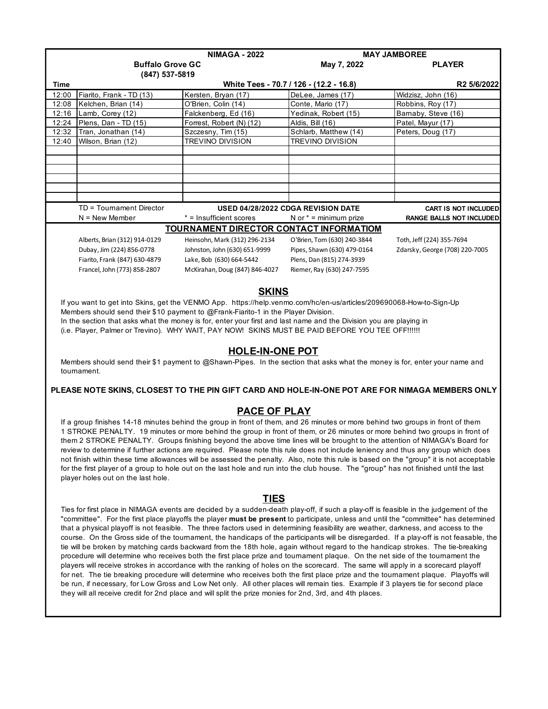|                                                                                                                                                                                                                                                                           | <b>NIMAGA - 2022</b>                                                                                                              |                                                | <b>MAY JAMBOREE</b>                                                                                                                                                                                                                                           |                                          |  |  |  |
|---------------------------------------------------------------------------------------------------------------------------------------------------------------------------------------------------------------------------------------------------------------------------|-----------------------------------------------------------------------------------------------------------------------------------|------------------------------------------------|---------------------------------------------------------------------------------------------------------------------------------------------------------------------------------------------------------------------------------------------------------------|------------------------------------------|--|--|--|
|                                                                                                                                                                                                                                                                           | <b>Buffalo Grove GC</b>                                                                                                           |                                                | May 7, 2022                                                                                                                                                                                                                                                   | <b>PLAYER</b>                            |  |  |  |
|                                                                                                                                                                                                                                                                           | (847) 537-5819                                                                                                                    |                                                |                                                                                                                                                                                                                                                               |                                          |  |  |  |
| Time                                                                                                                                                                                                                                                                      |                                                                                                                                   |                                                | White Tees - 70.7 / 126 - (12.2 - 16.8)                                                                                                                                                                                                                       | R2 5/6/2022                              |  |  |  |
| 12:00                                                                                                                                                                                                                                                                     | Fiarito, Frank - TD (13)                                                                                                          | Kersten, Bryan (17)                            | DeLee, James (17)<br>Conte, Mario (17)                                                                                                                                                                                                                        | Widzisz, John (16)                       |  |  |  |
| 12:08<br>12:16                                                                                                                                                                                                                                                            | Kelchen, Brian (14)<br>Lamb, Corey (12)                                                                                           | O'Brien, Colin (14)<br>Falckenberg, Ed (16)    | Yedinak, Robert (15)                                                                                                                                                                                                                                          | Robbins, Roy (17)<br>Barnaby, Steve (16) |  |  |  |
| 12:24                                                                                                                                                                                                                                                                     | Plens, Dan - TD (15)                                                                                                              | Forrest, Robert (N) (12)                       | Aldis, Bill (16)                                                                                                                                                                                                                                              | Patel, Mayur (17)                        |  |  |  |
| 12:32                                                                                                                                                                                                                                                                     | Tran, Jonathan (14)                                                                                                               | Szczesny, Tim (15)                             | Schlarb, Matthew (14)                                                                                                                                                                                                                                         | Peters, Doug (17)                        |  |  |  |
| 12:40                                                                                                                                                                                                                                                                     | Wilson, Brian (12)                                                                                                                | TREVINO DIVISION                               | TREVINO DIVISION                                                                                                                                                                                                                                              |                                          |  |  |  |
|                                                                                                                                                                                                                                                                           |                                                                                                                                   |                                                |                                                                                                                                                                                                                                                               |                                          |  |  |  |
|                                                                                                                                                                                                                                                                           |                                                                                                                                   |                                                |                                                                                                                                                                                                                                                               |                                          |  |  |  |
|                                                                                                                                                                                                                                                                           |                                                                                                                                   |                                                |                                                                                                                                                                                                                                                               |                                          |  |  |  |
|                                                                                                                                                                                                                                                                           |                                                                                                                                   |                                                |                                                                                                                                                                                                                                                               |                                          |  |  |  |
|                                                                                                                                                                                                                                                                           |                                                                                                                                   |                                                |                                                                                                                                                                                                                                                               |                                          |  |  |  |
|                                                                                                                                                                                                                                                                           | TD = Tournament Director                                                                                                          |                                                | USED 04/28/2022 CDGA REVISION DATE                                                                                                                                                                                                                            | <b>CART IS NOT INCLUDED</b>              |  |  |  |
|                                                                                                                                                                                                                                                                           | $N =$ New Member                                                                                                                  | * = Insufficient scores                        | N or $* =$ minimum prize                                                                                                                                                                                                                                      | <b>RANGE BALLS NOT INCLUDED</b>          |  |  |  |
|                                                                                                                                                                                                                                                                           |                                                                                                                                   | <b>TOURNAMENT DIRECTOR CONTACT INFORMATIOM</b> |                                                                                                                                                                                                                                                               |                                          |  |  |  |
|                                                                                                                                                                                                                                                                           | Alberts, Brian (312) 914-0129                                                                                                     | Heinsohn, Mark (312) 296-2134                  | O'Brien, Tom (630) 240-3844                                                                                                                                                                                                                                   | Toth, Jeff (224) 355-7694                |  |  |  |
|                                                                                                                                                                                                                                                                           | Dubay, Jim (224) 856-0778                                                                                                         | Johnston, John (630) 651-9999                  | Pipes, Shawn (630) 479-0164                                                                                                                                                                                                                                   | Zdarsky, George (708) 220-7005           |  |  |  |
|                                                                                                                                                                                                                                                                           | Fiarito, Frank (847) 630-4879                                                                                                     | Lake, Bob (630) 664-5442                       | Plens, Dan (815) 274-3939                                                                                                                                                                                                                                     |                                          |  |  |  |
|                                                                                                                                                                                                                                                                           | Francel, John (773) 858-2807                                                                                                      | McKirahan, Doug (847) 846-4027                 | Riemer, Ray (630) 247-7595                                                                                                                                                                                                                                    |                                          |  |  |  |
|                                                                                                                                                                                                                                                                           |                                                                                                                                   |                                                |                                                                                                                                                                                                                                                               |                                          |  |  |  |
|                                                                                                                                                                                                                                                                           |                                                                                                                                   | <b>SKINS</b>                                   |                                                                                                                                                                                                                                                               |                                          |  |  |  |
|                                                                                                                                                                                                                                                                           |                                                                                                                                   |                                                | If you want to get into Skins, get the VENMO App. https://help.venmo.com/hc/en-us/articles/209690068-How-to-Sign-Up                                                                                                                                           |                                          |  |  |  |
|                                                                                                                                                                                                                                                                           | Members should send their \$10 payment to @Frank-Fiarito-1 in the Player Division.                                                |                                                |                                                                                                                                                                                                                                                               |                                          |  |  |  |
|                                                                                                                                                                                                                                                                           |                                                                                                                                   |                                                | In the section that asks what the money is for, enter your first and last name and the Division you are playing in                                                                                                                                            |                                          |  |  |  |
|                                                                                                                                                                                                                                                                           |                                                                                                                                   |                                                | (i.e. Player, Palmer or Trevino). WHY WAIT, PAY NOW! SKINS MUST BE PAID BEFORE YOU TEE OFF!!!!!!                                                                                                                                                              |                                          |  |  |  |
|                                                                                                                                                                                                                                                                           |                                                                                                                                   |                                                |                                                                                                                                                                                                                                                               |                                          |  |  |  |
|                                                                                                                                                                                                                                                                           |                                                                                                                                   | <b>HOLE-IN-ONE POT</b>                         |                                                                                                                                                                                                                                                               |                                          |  |  |  |
|                                                                                                                                                                                                                                                                           |                                                                                                                                   |                                                | Members should send their \$1 payment to @Shawn-Pipes. In the section that asks what the money is for, enter your name and                                                                                                                                    |                                          |  |  |  |
|                                                                                                                                                                                                                                                                           | tournament.                                                                                                                       |                                                |                                                                                                                                                                                                                                                               |                                          |  |  |  |
|                                                                                                                                                                                                                                                                           |                                                                                                                                   |                                                |                                                                                                                                                                                                                                                               |                                          |  |  |  |
|                                                                                                                                                                                                                                                                           |                                                                                                                                   |                                                | PLEASE NOTE SKINS, CLOSEST TO THE PIN GIFT CARD AND HOLE-IN-ONE POT ARE FOR NIMAGA MEMBERS ONLY                                                                                                                                                               |                                          |  |  |  |
|                                                                                                                                                                                                                                                                           |                                                                                                                                   | <b>PACE OF PLAY</b>                            |                                                                                                                                                                                                                                                               |                                          |  |  |  |
|                                                                                                                                                                                                                                                                           |                                                                                                                                   |                                                |                                                                                                                                                                                                                                                               |                                          |  |  |  |
|                                                                                                                                                                                                                                                                           |                                                                                                                                   |                                                | If a group finishes 14-18 minutes behind the group in front of them, and 26 minutes or more behind two groups in front of them<br>1 STROKE PENALTY. 19 minutes or more behind the group in front of them, or 26 minutes or more behind two groups in front of |                                          |  |  |  |
|                                                                                                                                                                                                                                                                           |                                                                                                                                   |                                                | them 2 STROKE PENALTY. Groups finishing beyond the above time lines will be brought to the attention of NIMAGA's Board for                                                                                                                                    |                                          |  |  |  |
|                                                                                                                                                                                                                                                                           |                                                                                                                                   |                                                | review to determine if further actions are required. Please note this rule does not include leniency and thus any group which does                                                                                                                            |                                          |  |  |  |
|                                                                                                                                                                                                                                                                           |                                                                                                                                   |                                                | not finish within these time allowances will be assessed the penalty. Also, note this rule is based on the "group" it is not acceptable                                                                                                                       |                                          |  |  |  |
|                                                                                                                                                                                                                                                                           |                                                                                                                                   |                                                |                                                                                                                                                                                                                                                               |                                          |  |  |  |
| for the first player of a group to hole out on the last hole and run into the club house. The "group" has not finished until the last<br>player holes out on the last hole.                                                                                               |                                                                                                                                   |                                                |                                                                                                                                                                                                                                                               |                                          |  |  |  |
|                                                                                                                                                                                                                                                                           |                                                                                                                                   |                                                |                                                                                                                                                                                                                                                               |                                          |  |  |  |
|                                                                                                                                                                                                                                                                           |                                                                                                                                   | <b>TIES</b>                                    |                                                                                                                                                                                                                                                               |                                          |  |  |  |
|                                                                                                                                                                                                                                                                           |                                                                                                                                   |                                                | Ties for first place in NIMAGA events are decided by a sudden-death play-off, if such a play-off is feasible in the judgement of the                                                                                                                          |                                          |  |  |  |
|                                                                                                                                                                                                                                                                           |                                                                                                                                   |                                                | "committee". For the first place playoffs the player must be present to participate, unless and until the "committee" has determined                                                                                                                          |                                          |  |  |  |
| that a physical playoff is not feasible. The three factors used in determining feasibility are weather, darkness, and access to the                                                                                                                                       |                                                                                                                                   |                                                |                                                                                                                                                                                                                                                               |                                          |  |  |  |
| course. On the Gross side of the tournament, the handicaps of the participants will be disregarded. If a play-off is not feasable, the                                                                                                                                    |                                                                                                                                   |                                                |                                                                                                                                                                                                                                                               |                                          |  |  |  |
| tie will be broken by matching cards backward from the 18th hole, again without regard to the handicap strokes. The tie-breaking                                                                                                                                          |                                                                                                                                   |                                                |                                                                                                                                                                                                                                                               |                                          |  |  |  |
| procedure will determine who receives both the first place prize and tournament plaque. On the net side of the tournament the                                                                                                                                             |                                                                                                                                   |                                                |                                                                                                                                                                                                                                                               |                                          |  |  |  |
|                                                                                                                                                                                                                                                                           | players will receive strokes in accordance with the ranking of holes on the scorecard. The same will apply in a scorecard playoff |                                                |                                                                                                                                                                                                                                                               |                                          |  |  |  |
| for net. The tie breaking procedure will determine who receives both the first place prize and the tournament plaque. Playoffs will<br>be run, if necessary, for Low Gross and Low Net only. All other places will remain ties. Example if 3 players tie for second place |                                                                                                                                   |                                                |                                                                                                                                                                                                                                                               |                                          |  |  |  |
|                                                                                                                                                                                                                                                                           | they will all receive credit for 2nd place and will split the prize monies for 2nd, 3rd, and 4th places.                          |                                                |                                                                                                                                                                                                                                                               |                                          |  |  |  |
|                                                                                                                                                                                                                                                                           |                                                                                                                                   |                                                |                                                                                                                                                                                                                                                               |                                          |  |  |  |
|                                                                                                                                                                                                                                                                           |                                                                                                                                   |                                                |                                                                                                                                                                                                                                                               |                                          |  |  |  |
|                                                                                                                                                                                                                                                                           |                                                                                                                                   |                                                |                                                                                                                                                                                                                                                               |                                          |  |  |  |
|                                                                                                                                                                                                                                                                           |                                                                                                                                   |                                                |                                                                                                                                                                                                                                                               |                                          |  |  |  |
|                                                                                                                                                                                                                                                                           |                                                                                                                                   |                                                |                                                                                                                                                                                                                                                               |                                          |  |  |  |
|                                                                                                                                                                                                                                                                           |                                                                                                                                   |                                                |                                                                                                                                                                                                                                                               |                                          |  |  |  |